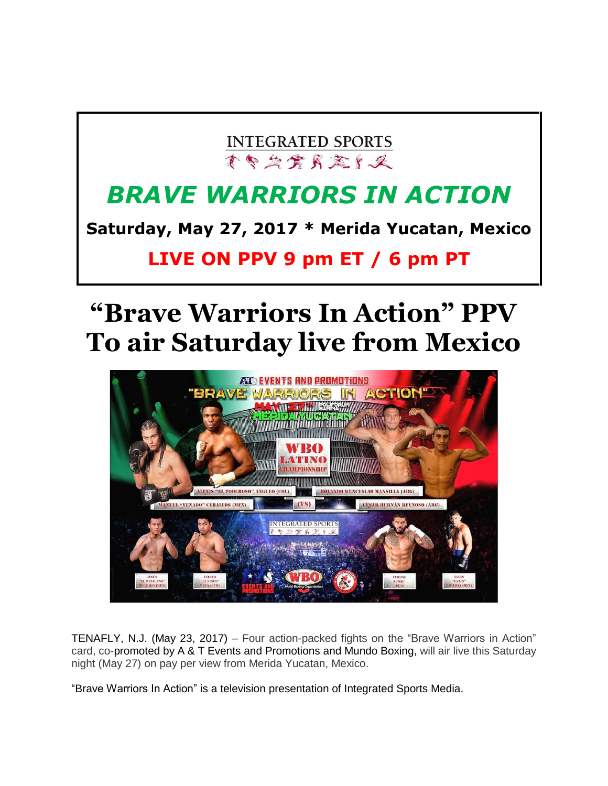### **INTEGRATED SPORTS** 不多公寓民意有足

## *BRAVE WARRIORS IN ACTION*

**Saturday, May 27, 2017 \* Merida Yucatan, Mexico**

**LIVE ON PPV 9 pm ET / 6 pm PT**

# **"Brave Warriors In Action" PPV To air Saturday live from Mexico**



TENAFLY, N.J. (May 23, 2017) – Four action-packed fights on the "Brave Warriors in Action" card, co-promoted by A & T Events and Promotions and Mundo Boxing, will air live this Saturday night (May 27) on pay per view from Merida Yucatan, Mexico.

"Brave Warriors In Action" is a television presentation of Integrated Sports Media.